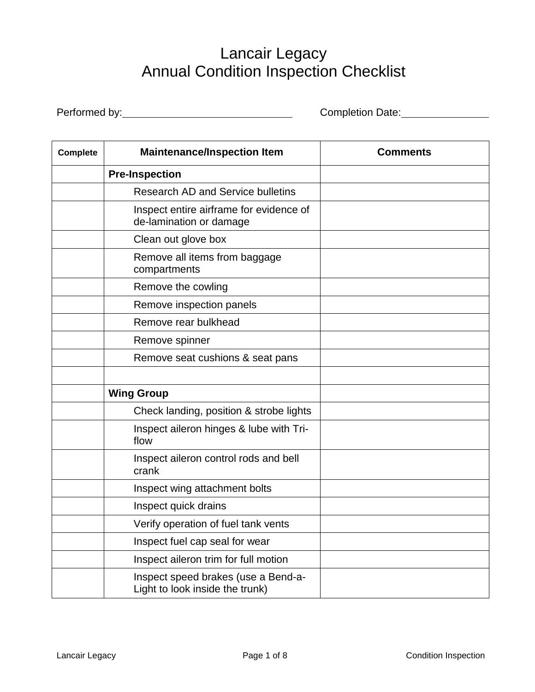## Lancair Legacy Annual Condition Inspection Checklist

Performed by: <u>Completion Date:</u> Completion Date:

| <b>Complete</b> | <b>Maintenance/Inspection Item</b>                                     | <b>Comments</b> |
|-----------------|------------------------------------------------------------------------|-----------------|
|                 | <b>Pre-Inspection</b>                                                  |                 |
|                 | <b>Research AD and Service bulletins</b>                               |                 |
|                 | Inspect entire airframe for evidence of<br>de-lamination or damage     |                 |
|                 | Clean out glove box                                                    |                 |
|                 | Remove all items from baggage<br>compartments                          |                 |
|                 | Remove the cowling                                                     |                 |
|                 | Remove inspection panels                                               |                 |
|                 | Remove rear bulkhead                                                   |                 |
|                 | Remove spinner                                                         |                 |
|                 | Remove seat cushions & seat pans                                       |                 |
|                 |                                                                        |                 |
|                 | <b>Wing Group</b>                                                      |                 |
|                 | Check landing, position & strobe lights                                |                 |
|                 | Inspect aileron hinges & lube with Tri-<br>flow                        |                 |
|                 | Inspect aileron control rods and bell<br>crank                         |                 |
|                 | Inspect wing attachment bolts                                          |                 |
|                 | Inspect quick drains                                                   |                 |
|                 | Verify operation of fuel tank vents                                    |                 |
|                 | Inspect fuel cap seal for wear                                         |                 |
|                 | Inspect aileron trim for full motion                                   |                 |
|                 | Inspect speed brakes (use a Bend-a-<br>Light to look inside the trunk) |                 |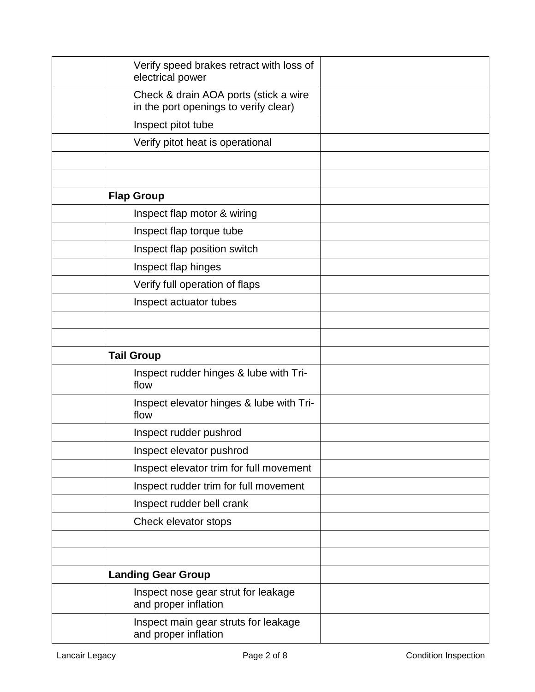| Verify speed brakes retract with loss of<br>electrical power                   |  |
|--------------------------------------------------------------------------------|--|
| Check & drain AOA ports (stick a wire<br>in the port openings to verify clear) |  |
| Inspect pitot tube                                                             |  |
| Verify pitot heat is operational                                               |  |
|                                                                                |  |
|                                                                                |  |
| <b>Flap Group</b>                                                              |  |
| Inspect flap motor & wiring                                                    |  |
| Inspect flap torque tube                                                       |  |
| Inspect flap position switch                                                   |  |
| Inspect flap hinges                                                            |  |
| Verify full operation of flaps                                                 |  |
| Inspect actuator tubes                                                         |  |
|                                                                                |  |
|                                                                                |  |
| <b>Tail Group</b>                                                              |  |
| Inspect rudder hinges & lube with Tri-<br>flow                                 |  |
| Inspect elevator hinges & lube with Tri-<br>flow                               |  |
| Inspect rudder pushrod                                                         |  |
| Inspect elevator pushrod                                                       |  |
| Inspect elevator trim for full movement                                        |  |
| Inspect rudder trim for full movement                                          |  |
| Inspect rudder bell crank                                                      |  |
| Check elevator stops                                                           |  |
|                                                                                |  |
|                                                                                |  |
| <b>Landing Gear Group</b>                                                      |  |
| Inspect nose gear strut for leakage<br>and proper inflation                    |  |
| Inspect main gear struts for leakage<br>and proper inflation                   |  |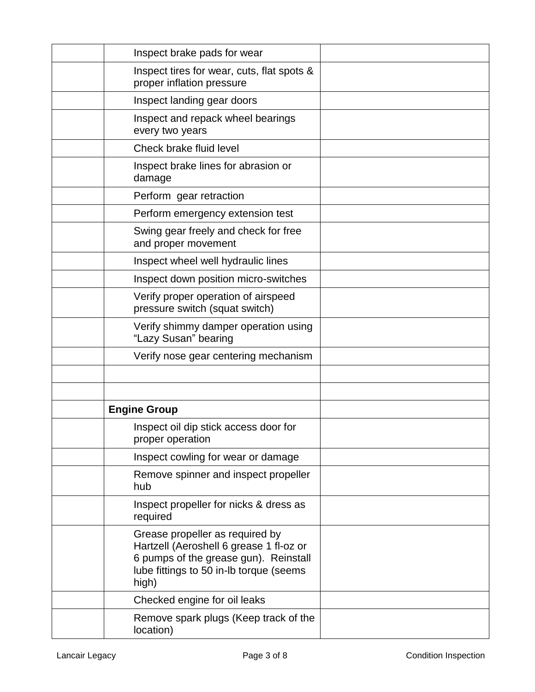| Inspect brake pads for wear                                                                                                                                             |  |
|-------------------------------------------------------------------------------------------------------------------------------------------------------------------------|--|
| Inspect tires for wear, cuts, flat spots &<br>proper inflation pressure                                                                                                 |  |
| Inspect landing gear doors                                                                                                                                              |  |
| Inspect and repack wheel bearings<br>every two years                                                                                                                    |  |
| Check brake fluid level                                                                                                                                                 |  |
| Inspect brake lines for abrasion or<br>damage                                                                                                                           |  |
| Perform gear retraction                                                                                                                                                 |  |
| Perform emergency extension test                                                                                                                                        |  |
| Swing gear freely and check for free<br>and proper movement                                                                                                             |  |
| Inspect wheel well hydraulic lines                                                                                                                                      |  |
| Inspect down position micro-switches                                                                                                                                    |  |
| Verify proper operation of airspeed<br>pressure switch (squat switch)                                                                                                   |  |
| Verify shimmy damper operation using<br>"Lazy Susan" bearing                                                                                                            |  |
| Verify nose gear centering mechanism                                                                                                                                    |  |
|                                                                                                                                                                         |  |
|                                                                                                                                                                         |  |
| <b>Engine Group</b>                                                                                                                                                     |  |
| Inspect oil dip stick access door for<br>proper operation                                                                                                               |  |
| Inspect cowling for wear or damage                                                                                                                                      |  |
| Remove spinner and inspect propeller<br>hub                                                                                                                             |  |
| Inspect propeller for nicks & dress as<br>required                                                                                                                      |  |
| Grease propeller as required by<br>Hartzell (Aeroshell 6 grease 1 fl-oz or<br>6 pumps of the grease gun). Reinstall<br>lube fittings to 50 in-Ib torque (seems<br>high) |  |
| Checked engine for oil leaks                                                                                                                                            |  |
| Remove spark plugs (Keep track of the<br>location)                                                                                                                      |  |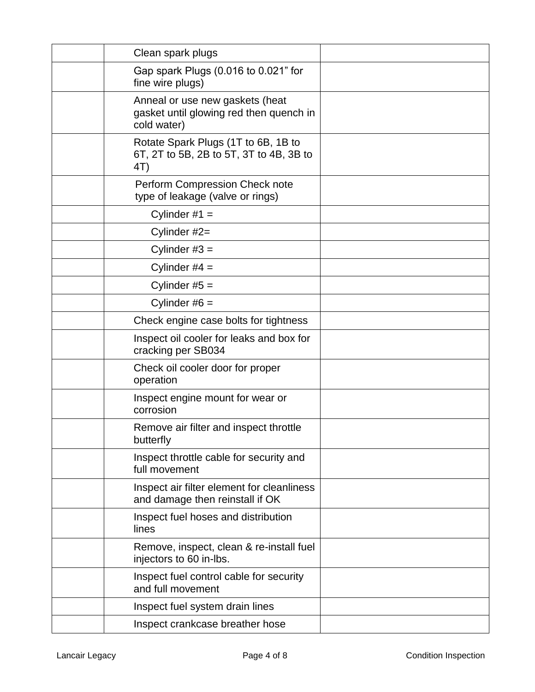| Clean spark plugs                                                                         |  |
|-------------------------------------------------------------------------------------------|--|
| Gap spark Plugs (0.016 to 0.021" for<br>fine wire plugs)                                  |  |
| Anneal or use new gaskets (heat<br>gasket until glowing red then quench in<br>cold water) |  |
| Rotate Spark Plugs (1T to 6B, 1B to<br>6T, 2T to 5B, 2B to 5T, 3T to 4B, 3B to<br>4T)     |  |
| Perform Compression Check note<br>type of leakage (valve or rings)                        |  |
| Cylinder $#1 =$                                                                           |  |
| Cylinder #2=                                                                              |  |
| Cylinder $#3 =$                                                                           |  |
| Cylinder $#4 =$                                                                           |  |
| Cylinder $#5 =$                                                                           |  |
| Cylinder $#6 =$                                                                           |  |
| Check engine case bolts for tightness                                                     |  |
| Inspect oil cooler for leaks and box for<br>cracking per SB034                            |  |
| Check oil cooler door for proper<br>operation                                             |  |
| Inspect engine mount for wear or<br>corrosion                                             |  |
| Remove air filter and inspect throttle<br>butterfly                                       |  |
| Inspect throttle cable for security and<br>full movement                                  |  |
| Inspect air filter element for cleanliness<br>and damage then reinstall if OK             |  |
| Inspect fuel hoses and distribution<br>lines                                              |  |
| Remove, inspect, clean & re-install fuel<br>injectors to 60 in-lbs.                       |  |
| Inspect fuel control cable for security<br>and full movement                              |  |
| Inspect fuel system drain lines                                                           |  |
| Inspect crankcase breather hose                                                           |  |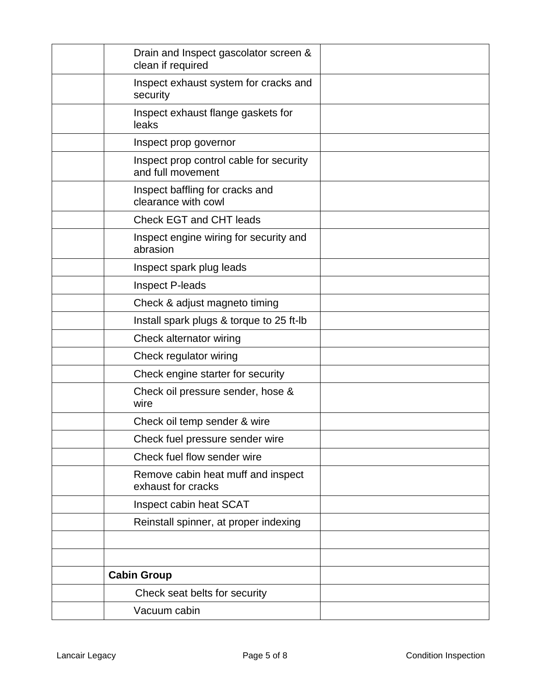| Drain and Inspect gascolator screen &<br>clean if required   |  |
|--------------------------------------------------------------|--|
| Inspect exhaust system for cracks and<br>security            |  |
| Inspect exhaust flange gaskets for<br>leaks                  |  |
| Inspect prop governor                                        |  |
| Inspect prop control cable for security<br>and full movement |  |
| Inspect baffling for cracks and<br>clearance with cowl       |  |
| <b>Check EGT and CHT leads</b>                               |  |
| Inspect engine wiring for security and<br>abrasion           |  |
| Inspect spark plug leads                                     |  |
| <b>Inspect P-leads</b>                                       |  |
| Check & adjust magneto timing                                |  |
| Install spark plugs & torque to 25 ft-lb                     |  |
| Check alternator wiring                                      |  |
| Check regulator wiring                                       |  |
| Check engine starter for security                            |  |
| Check oil pressure sender, hose &<br>wire                    |  |
| Check oil temp sender & wire                                 |  |
| Check fuel pressure sender wire                              |  |
| Check fuel flow sender wire                                  |  |
| Remove cabin heat muff and inspect<br>exhaust for cracks     |  |
| Inspect cabin heat SCAT                                      |  |
| Reinstall spinner, at proper indexing                        |  |
|                                                              |  |
|                                                              |  |
| <b>Cabin Group</b>                                           |  |
| Check seat belts for security                                |  |
| Vacuum cabin                                                 |  |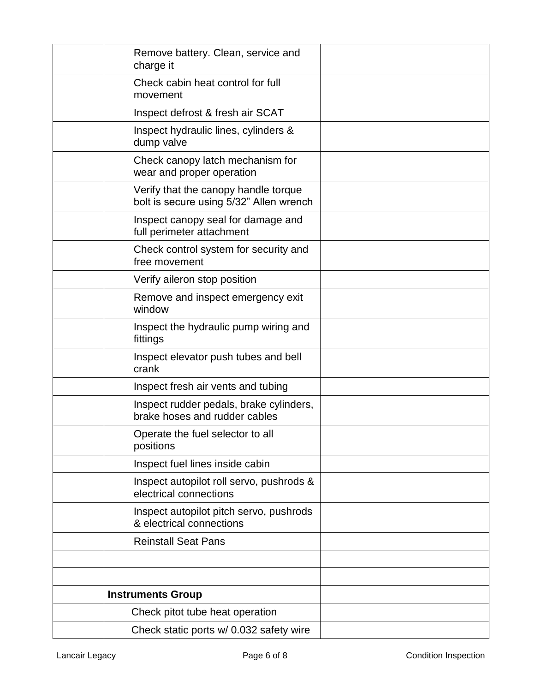| Remove battery. Clean, service and<br>charge it                                 |  |
|---------------------------------------------------------------------------------|--|
| Check cabin heat control for full<br>movement                                   |  |
| Inspect defrost & fresh air SCAT                                                |  |
| Inspect hydraulic lines, cylinders &<br>dump valve                              |  |
| Check canopy latch mechanism for<br>wear and proper operation                   |  |
| Verify that the canopy handle torque<br>bolt is secure using 5/32" Allen wrench |  |
| Inspect canopy seal for damage and<br>full perimeter attachment                 |  |
| Check control system for security and<br>free movement                          |  |
| Verify aileron stop position                                                    |  |
| Remove and inspect emergency exit<br>window                                     |  |
| Inspect the hydraulic pump wiring and<br>fittings                               |  |
| Inspect elevator push tubes and bell<br>crank                                   |  |
| Inspect fresh air vents and tubing                                              |  |
| Inspect rudder pedals, brake cylinders,<br>brake hoses and rudder cables        |  |
| Operate the fuel selector to all<br>positions                                   |  |
| Inspect fuel lines inside cabin                                                 |  |
| Inspect autopilot roll servo, pushrods &<br>electrical connections              |  |
| Inspect autopilot pitch servo, pushrods<br>& electrical connections             |  |
| <b>Reinstall Seat Pans</b>                                                      |  |
|                                                                                 |  |
|                                                                                 |  |
| <b>Instruments Group</b>                                                        |  |
| Check pitot tube heat operation                                                 |  |
| Check static ports w/ 0.032 safety wire                                         |  |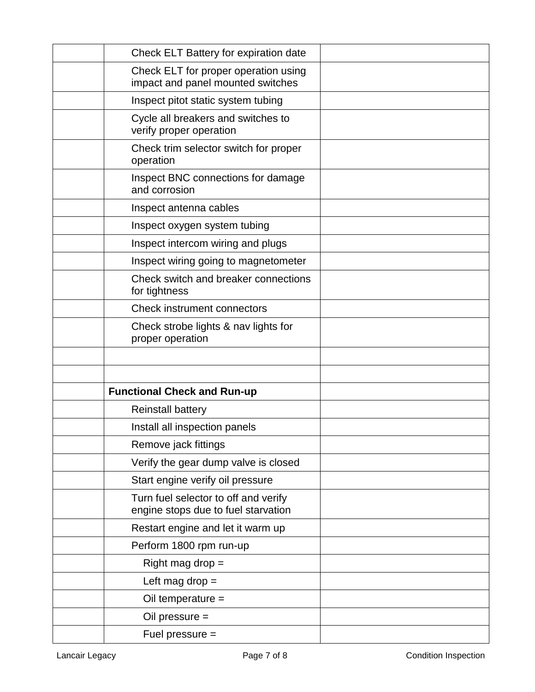| Check ELT Battery for expiration date                                       |  |
|-----------------------------------------------------------------------------|--|
| Check ELT for proper operation using<br>impact and panel mounted switches   |  |
| Inspect pitot static system tubing                                          |  |
| Cycle all breakers and switches to<br>verify proper operation               |  |
| Check trim selector switch for proper<br>operation                          |  |
| Inspect BNC connections for damage<br>and corrosion                         |  |
| Inspect antenna cables                                                      |  |
| Inspect oxygen system tubing                                                |  |
| Inspect intercom wiring and plugs                                           |  |
| Inspect wiring going to magnetometer                                        |  |
| Check switch and breaker connections<br>for tightness                       |  |
| <b>Check instrument connectors</b>                                          |  |
| Check strobe lights & nav lights for<br>proper operation                    |  |
|                                                                             |  |
|                                                                             |  |
| <b>Functional Check and Run-up</b>                                          |  |
| <b>Reinstall battery</b>                                                    |  |
| Install all inspection panels                                               |  |
| Remove jack fittings                                                        |  |
| Verify the gear dump valve is closed                                        |  |
| Start engine verify oil pressure                                            |  |
| Turn fuel selector to off and verify<br>engine stops due to fuel starvation |  |
| Restart engine and let it warm up                                           |  |
| Perform 1800 rpm run-up                                                     |  |
| Right mag drop $=$                                                          |  |
| Left mag drop $=$                                                           |  |
| Oil temperature =                                                           |  |
| Oil pressure $=$                                                            |  |
| Fuel pressure =                                                             |  |